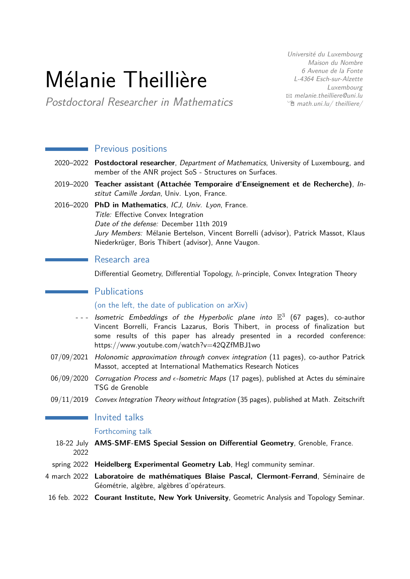# Mélanie Theillière

Université du Luxembourg Maison du Nombre 6 Avenue de la Fonte L-4364 Esch-sur-Alzette Luxembourg  $\boxtimes$  [melanie.theilliere@uni.lu](mailto:melanie.theilliere@uni.lu)  $\hat{E}$  [math.uni.lu/ theilliere/](http://math.uni.lu/~theilliere/)

Postdoctoral Researcher in Mathematics

|              | <b>Previous positions</b>                                                                                                                                                                                                                                                                                   |
|--------------|-------------------------------------------------------------------------------------------------------------------------------------------------------------------------------------------------------------------------------------------------------------------------------------------------------------|
|              | 2020-2022 Postdoctoral researcher, Department of Mathematics, University of Luxembourg, and<br>member of the ANR project SoS - Structures on Surfaces.                                                                                                                                                      |
|              | 2019-2020 Teacher assistant (Attachée Temporaire d'Enseignement et de Recherche), In-<br>stitut Camille Jordan, Univ. Lyon, France.                                                                                                                                                                         |
|              | 2016-2020 PhD in Mathematics, ICJ, Univ. Lyon, France.<br>Title: Effective Convex Integration<br>Date of the defense: December 11th 2019<br>Jury Members: Mélanie Bertelson, Vincent Borrelli (advisor), Patrick Massot, Klaus<br>Niederkrüger, Boris Thibert (advisor), Anne Vaugon.                       |
|              | Research area                                                                                                                                                                                                                                                                                               |
|              | Differential Geometry, Differential Topology, h-principle, Convex Integration Theory                                                                                                                                                                                                                        |
|              | <b>Publications</b>                                                                                                                                                                                                                                                                                         |
|              | (on the left, the date of publication on arXiv)                                                                                                                                                                                                                                                             |
|              | --- Isometric Embeddings of the Hyperbolic plane into $\mathbb{E}^3$ (67 pages), co-author<br>Vincent Borrelli, Francis Lazarus, Boris Thibert, in process of finalization but<br>some results of this paper has already presented in a recorded conference:<br>https://www.youtube.com/watch?v=42QZfMBJ1wo |
|              | 07/09/2021 Holonomic approximation through convex integration (11 pages), co-author Patrick<br>Massot, accepted at International Mathematics Research Notices                                                                                                                                               |
|              | 06/09/2020 Corrugation Process and $\epsilon$ -Isometric Maps (17 pages), published at Actes du séminaire<br>TSG de Grenoble                                                                                                                                                                                |
|              | 09/11/2019 Convex Integration Theory without Integration (35 pages), published at Math. Zeitschrift                                                                                                                                                                                                         |
|              | Invited talks                                                                                                                                                                                                                                                                                               |
|              | Forthcoming talk                                                                                                                                                                                                                                                                                            |
| 2022         | 18-22 July AMS-SMF-EMS Special Session on Differential Geometry, Grenoble, France.                                                                                                                                                                                                                          |
|              | spring 2022 Heidelberg Experimental Geometry Lab, Hegl community seminar.                                                                                                                                                                                                                                   |
|              | 4 march 2022 Laboratoire de mathématiques Blaise Pascal, Clermont-Ferrand, Séminaire de<br>Géométrie, algèbre, algèbres d'opérateurs.                                                                                                                                                                       |
| 16 feb. 2022 | Courant Institute, New York University, Geometric Analysis and Topology Seminar.                                                                                                                                                                                                                            |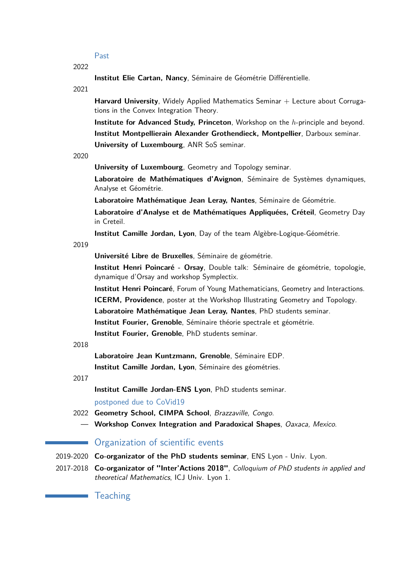Past

2022

**Institut Elie Cartan, Nancy**, Séminaire de Géométrie Différentielle.

2021

Harvard University, Widely Applied Mathematics Seminar + Lecture about Corrugations in the Convex Integration Theory.

**Institute for Advanced Study, Princeton**, Workshop on the *h*-principle and beyond. **Institut Montpellierain Alexander Grothendieck, Montpellier**, Darboux seminar. **University of Luxembourg**, ANR SoS seminar.

2020

**University of Luxembourg**, Geometry and Topology seminar.

**Laboratoire de Mathématiques d'Avignon**, Séminaire de Systèmes dynamiques, Analyse et Géométrie.

**Laboratoire Mathématique Jean Leray, Nantes**, Séminaire de Géométrie.

**Laboratoire d'Analyse et de Mathématiques Appliquées, Créteil**, Geometry Day in Creteil.

**Institut Camille Jordan, Lyon**, Day of the team Algèbre-Logique-Géométrie.

2019

**Université Libre de Bruxelles**, Séminaire de géométrie.

**Institut Henri Poincaré - Orsay**, Double talk: Séminaire de géométrie, topologie, dynamique d'Orsay and workshop Symplectix.

**Institut Henri Poincaré**, Forum of Young Mathematicians, Geometry and Interactions.

**ICERM, Providence**, poster at the Workshop Illustrating Geometry and Topology. **Laboratoire Mathématique Jean Leray, Nantes**, PhD students seminar.

**Institut Fourier, Grenoble**, Séminaire théorie spectrale et géométrie.

**Institut Fourier, Grenoble**, PhD students seminar.

#### 2018

**Laboratoire Jean Kuntzmann, Grenoble**, Séminaire EDP.

**Institut Camille Jordan, Lyon**, Séminaire des géométries.

2017

**Institut Camille Jordan-ENS Lyon**, PhD students seminar.

postponed due to CoVid19

- 2022 **Geometry School, CIMPA School**, Brazzaville, Congo.
	- **Workshop Convex Integration and Paradoxical Shapes**, Oaxaca, Mexico.

# **Organization of scientific events**

2019-2020 **Co-organizator of the PhD students seminar**, ENS Lyon - Univ. Lyon.

2017-2018 **Co-organizator of "Inter'Actions 2018"**, Colloquium of PhD students in applied and theoretical Mathematics, ICJ Univ. Lyon 1.

**Teaching**